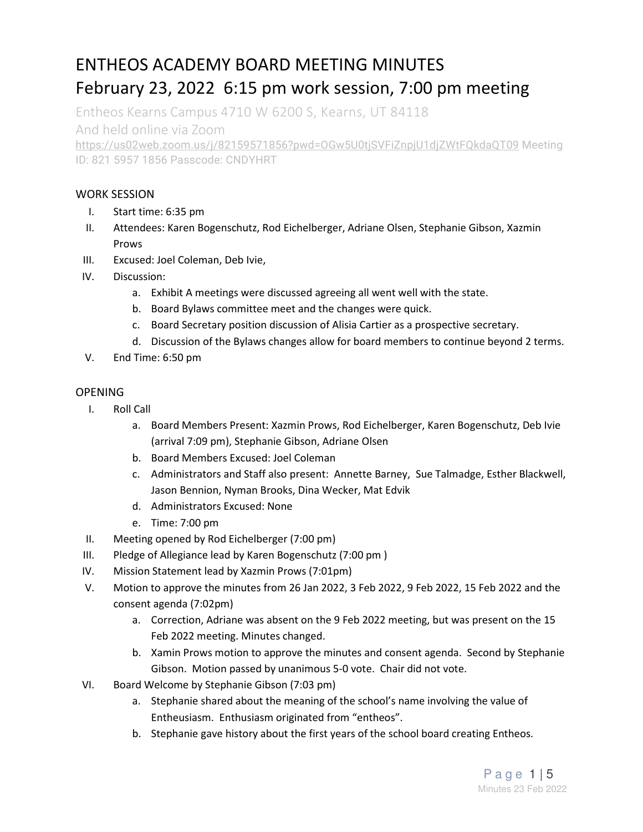# ENTHEOS ACADEMY BOARD MEETING MINUTES February 23, 2022 6:15 pm work session, 7:00 pm meeting

Entheos Kearns Campus 4710 W 6200 S, Kearns, UT 84118

And held online via Zoom

https://us02web.zoom.us/j/82159571856?pwd=OGw5U0tjSVFiZnpjU1djZWtFQkdaQT09 Meeting ID: 821 5957 1856 Passcode: CNDYHRT

## WORK SESSION

- I. Start time: 6:35 pm
- II. Attendees: Karen Bogenschutz, Rod Eichelberger, Adriane Olsen, Stephanie Gibson, Xazmin Prows
- III. Excused: Joel Coleman, Deb Ivie,
- IV. Discussion:
	- a. Exhibit A meetings were discussed agreeing all went well with the state.
	- b. Board Bylaws committee meet and the changes were quick.
	- c. Board Secretary position discussion of Alisia Cartier as a prospective secretary.
	- d. Discussion of the Bylaws changes allow for board members to continue beyond 2 terms.
- V. End Time: 6:50 pm

## OPENING

- I. Roll Call
	- a. Board Members Present: Xazmin Prows, Rod Eichelberger, Karen Bogenschutz, Deb Ivie (arrival 7:09 pm), Stephanie Gibson, Adriane Olsen
	- b. Board Members Excused: Joel Coleman
	- c. Administrators and Staff also present: Annette Barney, Sue Talmadge, Esther Blackwell, Jason Bennion, Nyman Brooks, Dina Wecker, Mat Edvik
	- d. Administrators Excused: None
	- e. Time: 7:00 pm
- II. Meeting opened by Rod Eichelberger (7:00 pm)
- III. Pledge of Allegiance lead by Karen Bogenschutz (7:00 pm )
- IV. Mission Statement lead by Xazmin Prows (7:01pm)
- V. Motion to approve the minutes from 26 Jan 2022, 3 Feb 2022, 9 Feb 2022, 15 Feb 2022 and the consent agenda (7:02pm)
	- a. Correction, Adriane was absent on the 9 Feb 2022 meeting, but was present on the 15 Feb 2022 meeting. Minutes changed.
	- b. Xamin Prows motion to approve the minutes and consent agenda. Second by Stephanie Gibson. Motion passed by unanimous 5-0 vote. Chair did not vote.
- VI. Board Welcome by Stephanie Gibson (7:03 pm)
	- a. Stephanie shared about the meaning of the school's name involving the value of Entheusiasm. Enthusiasm originated from "entheos".
	- b. Stephanie gave history about the first years of the school board creating Entheos.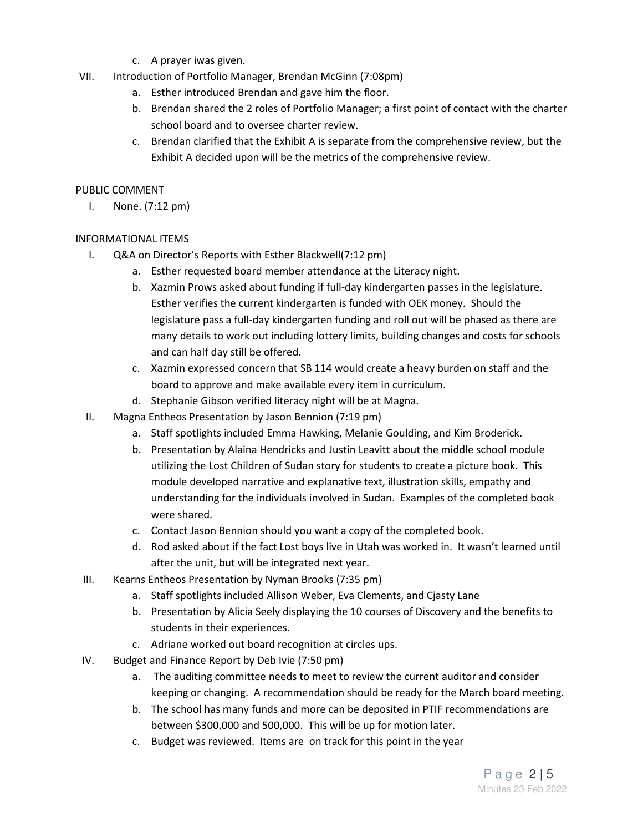- c. A prayer iwas given.
- VII. Introduction of Portfolio Manager, Brendan McGinn (7:08pm)
	- a. Esther introduced Brendan and gave him the floor.
	- b. Brendan shared the 2 roles of Portfolio Manager; a first point of contact with the charter school board and to oversee charter review.
	- c. Brendan clarified that the Exhibit A is separate from the comprehensive review, but the Exhibit A decided upon will be the metrics of the comprehensive review.

#### PUBLIC COMMENT

I. None. (7:12 pm)

### INFORMATIONAL ITEMS

- I. Q&A on Director's Reports with Esther Blackwell(7:12 pm)
	- a. Esther requested board member attendance at the Literacy night.
	- b. Xazmin Prows asked about funding if full-day kindergarten passes in the legislature. Esther verifies the current kindergarten is funded with OEK money. Should the legislature pass a full-day kindergarten funding and roll out will be phased as there are many details to work out including lottery limits, building changes and costs for schools and can half day still be offered.
	- c. Xazmin expressed concern that SB 114 would create a heavy burden on staff and the board to approve and make available every item in curriculum.
	- d. Stephanie Gibson verified literacy night will be at Magna.
- II. Magna Entheos Presentation by Jason Bennion (7:19 pm)
	- a. Staff spotlights included Emma Hawking, Melanie Goulding, and Kim Broderick.
	- b. Presentation by Alaina Hendricks and Justin Leavitt about the middle school module utilizing the Lost Children of Sudan story for students to create a picture book. This module developed narrative and explanative text, illustration skills, empathy and understanding for the individuals involved in Sudan. Examples of the completed book were shared.
	- c. Contact Jason Bennion should you want a copy of the completed book.
	- d. Rod asked about if the fact Lost boys live in Utah was worked in. It wasn't learned until after the unit, but will be integrated next year.
- III. Kearns Entheos Presentation by Nyman Brooks (7:35 pm)
	- a. Staff spotlights included Allison Weber, Eva Clements, and Cjasty Lane
	- b. Presentation by Alicia Seely displaying the 10 courses of Discovery and the benefits to students in their experiences.
	- c. Adriane worked out board recognition at circles ups.
- IV. Budget and Finance Report by Deb Ivie (7:50 pm)
	- a. The auditing committee needs to meet to review the current auditor and consider keeping or changing. A recommendation should be ready for the March board meeting.
	- b. The school has many funds and more can be deposited in PTIF recommendations are between \$300,000 and 500,000. This will be up for motion later.
	- c. Budget was reviewed. Items are on track for this point in the year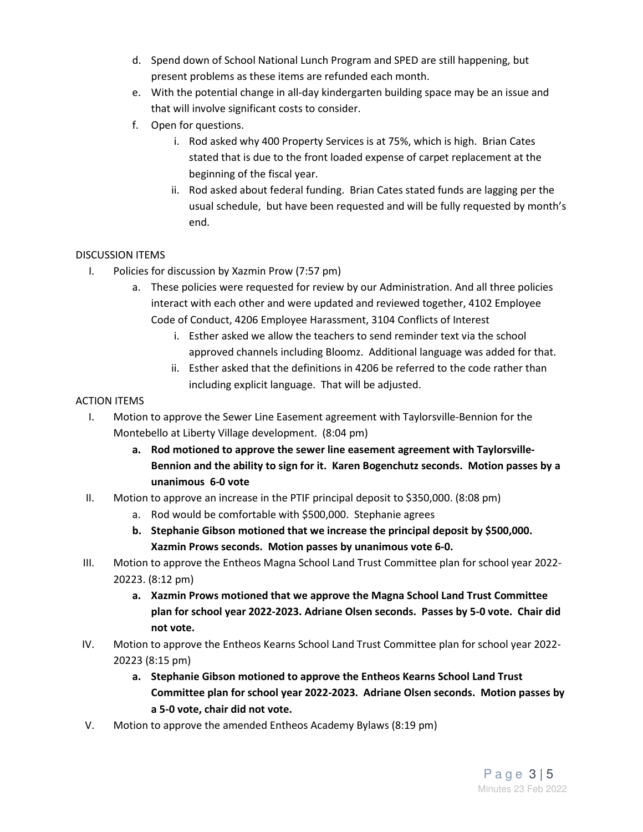- d. Spend down of School National Lunch Program and SPED are still happening, but present problems as these items are refunded each month.
- e. With the potential change in all-day kindergarten building space may be an issue and that will involve significant costs to consider.
- f. Open for questions.
	- i. Rod asked why 400 Property Services is at 75%, which is high. Brian Cates stated that is due to the front loaded expense of carpet replacement at the beginning of the fiscal year.
	- ii. Rod asked about federal funding. Brian Cates stated funds are lagging per the usual schedule, but have been requested and will be fully requested by month's end.

## DISCUSSION ITEMS

- I. Policies for discussion by Xazmin Prow (7:57 pm)
	- a. These policies were requested for review by our Administration. And all three policies interact with each other and were updated and reviewed together, 4102 Employee Code of Conduct, 4206 Employee Harassment, 3104 Conflicts of Interest
		- i. Esther asked we allow the teachers to send reminder text via the school approved channels including Bloomz. Additional language was added for that.
		- ii. Esther asked that the definitions in 4206 be referred to the code rather than including explicit language. That will be adjusted.

## ACTION ITEMS

- I. Motion to approve the Sewer Line Easement agreement with Taylorsville-Bennion for the Montebello at Liberty Village development. (8:04 pm)
	- **a. Rod motioned to approve the sewer line easement agreement with Taylorsville-Bennion and the ability to sign for it. Karen Bogenchutz seconds. Motion passes by a unanimous 6-0 vote**
- II. Motion to approve an increase in the PTIF principal deposit to \$350,000. (8:08 pm)
	- a. Rod would be comfortable with \$500,000. Stephanie agrees
	- **b. Stephanie Gibson motioned that we increase the principal deposit by \$500,000. Xazmin Prows seconds. Motion passes by unanimous vote 6-0.**
- III. Motion to approve the Entheos Magna School Land Trust Committee plan for school year 2022- 20223. (8:12 pm)
	- **a. Xazmin Prows motioned that we approve the Magna School Land Trust Committee plan for school year 2022-2023. Adriane Olsen seconds. Passes by 5-0 vote. Chair did not vote.**
- IV. Motion to approve the Entheos Kearns School Land Trust Committee plan for school year 2022- 20223 (8:15 pm)
	- **a. Stephanie Gibson motioned to approve the Entheos Kearns School Land Trust Committee plan for school year 2022-2023. Adriane Olsen seconds. Motion passes by a 5-0 vote, chair did not vote.**
- V. Motion to approve the amended Entheos Academy Bylaws (8:19 pm)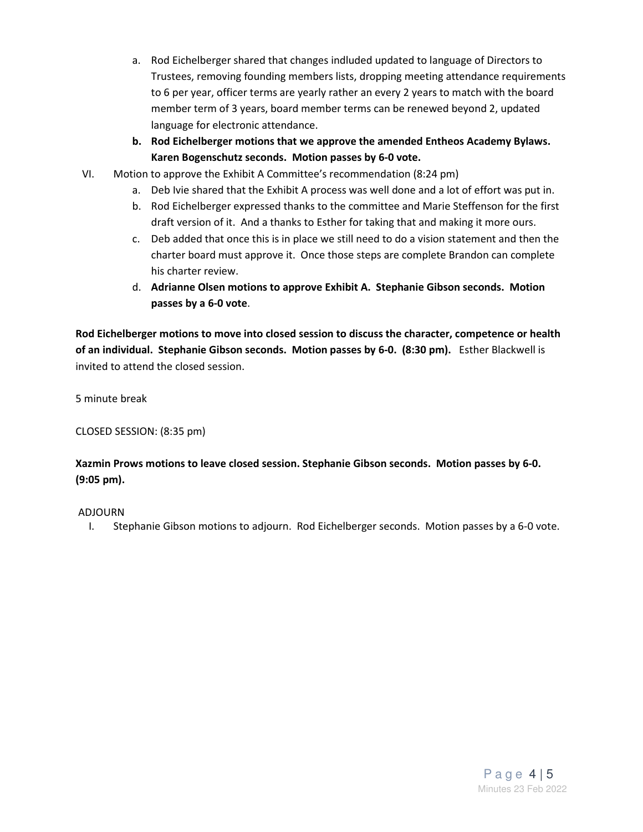- a. Rod Eichelberger shared that changes indluded updated to language of Directors to Trustees, removing founding members lists, dropping meeting attendance requirements to 6 per year, officer terms are yearly rather an every 2 years to match with the board member term of 3 years, board member terms can be renewed beyond 2, updated language for electronic attendance.
- **b. Rod Eichelberger motions that we approve the amended Entheos Academy Bylaws. Karen Bogenschutz seconds. Motion passes by 6-0 vote.**
- VI. Motion to approve the Exhibit A Committee's recommendation (8:24 pm)
	- a. Deb Ivie shared that the Exhibit A process was well done and a lot of effort was put in.
	- b. Rod Eichelberger expressed thanks to the committee and Marie Steffenson for the first draft version of it. And a thanks to Esther for taking that and making it more ours.
	- c. Deb added that once this is in place we still need to do a vision statement and then the charter board must approve it. Once those steps are complete Brandon can complete his charter review.
	- d. **Adrianne Olsen motions to approve Exhibit A. Stephanie Gibson seconds. Motion passes by a 6-0 vote**.

**Rod Eichelberger motions to move into closed session to discuss the character, competence or health of an individual. Stephanie Gibson seconds. Motion passes by 6-0. (8:30 pm).** Esther Blackwell is invited to attend the closed session.

5 minute break

CLOSED SESSION: (8:35 pm)

**Xazmin Prows motions to leave closed session. Stephanie Gibson seconds. Motion passes by 6-0. (9:05 pm).** 

#### ADJOURN

I. Stephanie Gibson motions to adjourn. Rod Eichelberger seconds. Motion passes by a 6-0 vote.